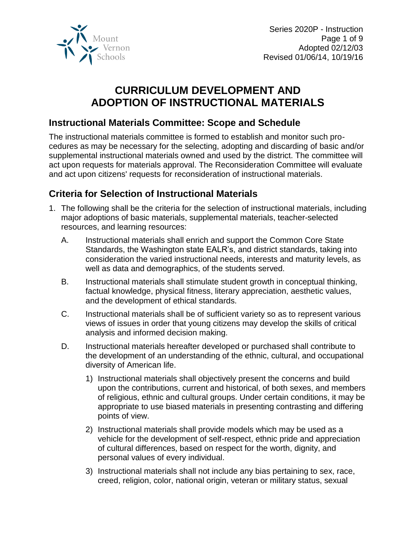

# **CURRICULUM DEVELOPMENT AND ADOPTION OF INSTRUCTIONAL MATERIALS**

### **Instructional Materials Committee: Scope and Schedule**

The instructional materials committee is formed to establish and monitor such procedures as may be necessary for the selecting, adopting and discarding of basic and/or supplemental instructional materials owned and used by the district. The committee will act upon requests for materials approval. The Reconsideration Committee will evaluate and act upon citizens' requests for reconsideration of instructional materials.

## **Criteria for Selection of Instructional Materials**

- 1. The following shall be the criteria for the selection of instructional materials, including major adoptions of basic materials, supplemental materials, teacher-selected resources, and learning resources:
	- A. Instructional materials shall enrich and support the Common Core State Standards, the Washington state EALR's, and district standards, taking into consideration the varied instructional needs, interests and maturity levels, as well as data and demographics, of the students served.
	- B. Instructional materials shall stimulate student growth in conceptual thinking, factual knowledge, physical fitness, literary appreciation, aesthetic values, and the development of ethical standards.
	- C. Instructional materials shall be of sufficient variety so as to represent various views of issues in order that young citizens may develop the skills of critical analysis and informed decision making.
	- D. Instructional materials hereafter developed or purchased shall contribute to the development of an understanding of the ethnic, cultural, and occupational diversity of American life.
		- 1) Instructional materials shall objectively present the concerns and build upon the contributions, current and historical, of both sexes, and members of religious, ethnic and cultural groups. Under certain conditions, it may be appropriate to use biased materials in presenting contrasting and differing points of view.
		- 2) Instructional materials shall provide models which may be used as a vehicle for the development of self-respect, ethnic pride and appreciation of cultural differences, based on respect for the worth, dignity, and personal values of every individual.
		- 3) Instructional materials shall not include any bias pertaining to sex, race, creed, religion, color, national origin, veteran or military status, sexual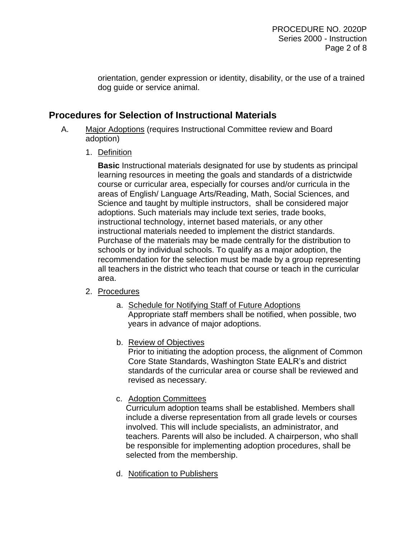orientation, gender expression or identity, disability, or the use of a trained dog guide or service animal.

### **Procedures for Selection of Instructional Materials**

- A. Major Adoptions (requires Instructional Committee review and Board adoption)
	- 1. Definition

**Basic** Instructional materials designated for use by students as principal learning resources in meeting the goals and standards of a districtwide course or curricular area, especially for courses and/or curricula in the areas of English/ Language Arts/Reading, Math, Social Sciences, and Science and taught by multiple instructors, shall be considered major adoptions. Such materials may include text series, trade books, instructional technology, internet based materials, or any other instructional materials needed to implement the district standards. Purchase of the materials may be made centrally for the distribution to schools or by individual schools. To qualify as a major adoption, the recommendation for the selection must be made by a group representing all teachers in the district who teach that course or teach in the curricular area.

- 2. Procedures
	- a. Schedule for Notifying Staff of Future Adoptions Appropriate staff members shall be notified, when possible, two years in advance of major adoptions.
	- b. Review of Objectives

Prior to initiating the adoption process, the alignment of Common Core State Standards, Washington State EALR's and district standards of the curricular area or course shall be reviewed and revised as necessary.

c. Adoption Committees

Curriculum adoption teams shall be established. Members shall include a diverse representation from all grade levels or courses involved. This will include specialists, an administrator, and teachers. Parents will also be included. A chairperson, who shall be responsible for implementing adoption procedures, shall be selected from the membership.

d. Notification to Publishers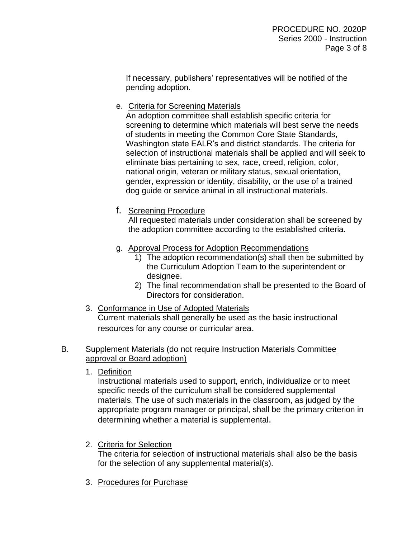If necessary, publishers' representatives will be notified of the pending adoption.

e. Criteria for Screening Materials

An adoption committee shall establish specific criteria for screening to determine which materials will best serve the needs of students in meeting the Common Core State Standards, Washington state EALR's and district standards. The criteria for selection of instructional materials shall be applied and will seek to eliminate bias pertaining to sex, race, creed, religion, color, national origin, veteran or military status, sexual orientation, gender, expression or identity, disability, or the use of a trained dog guide or service animal in all instructional materials.

f. Screening Procedure

All requested materials under consideration shall be screened by the adoption committee according to the established criteria.

- g. Approval Process for Adoption Recommendations
	- 1) The adoption recommendation(s) shall then be submitted by the Curriculum Adoption Team to the superintendent or designee.
	- 2) The final recommendation shall be presented to the Board of Directors for consideration.
- 3. Conformance in Use of Adopted Materials Current materials shall generally be used as the basic instructional resources for any course or curricular area.

#### B. Supplement Materials (do not require Instruction Materials Committee approval or Board adoption)

1. Definition

Instructional materials used to support, enrich, individualize or to meet specific needs of the curriculum shall be considered supplemental materials. The use of such materials in the classroom, as judged by the appropriate program manager or principal, shall be the primary criterion in determining whether a material is supplemental.

2. Criteria for Selection

The criteria for selection of instructional materials shall also be the basis for the selection of any supplemental material(s).

3. Procedures for Purchase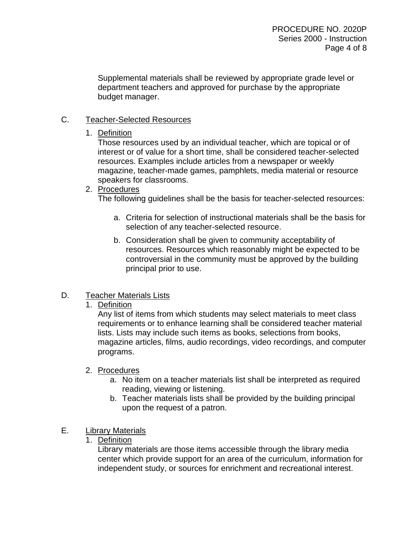Supplemental materials shall be reviewed by appropriate grade level or department teachers and approved for purchase by the appropriate budget manager.

#### C. Teacher-Selected Resources

#### 1. Definition

Those resources used by an individual teacher, which are topical or of interest or of value for a short time, shall be considered teacher-selected resources. Examples include articles from a newspaper or weekly magazine, teacher-made games, pamphlets, media material or resource speakers for classrooms.

#### 2. Procedures

The following guidelines shall be the basis for teacher-selected resources:

- a. Criteria for selection of instructional materials shall be the basis for selection of any teacher-selected resource.
- b. Consideration shall be given to community acceptability of resources. Resources which reasonably might be expected to be controversial in the community must be approved by the building principal prior to use.

#### D. Teacher Materials Lists

1. Definition

Any list of items from which students may select materials to meet class requirements or to enhance learning shall be considered teacher material lists. Lists may include such items as books, selections from books, magazine articles, films, audio recordings, video recordings, and computer programs.

#### 2. Procedures

- a. No item on a teacher materials list shall be interpreted as required reading, viewing or listening.
- b. Teacher materials lists shall be provided by the building principal upon the request of a patron.

#### E. Library Materials

1. Definition

Library materials are those items accessible through the library media center which provide support for an area of the curriculum, information for independent study, or sources for enrichment and recreational interest.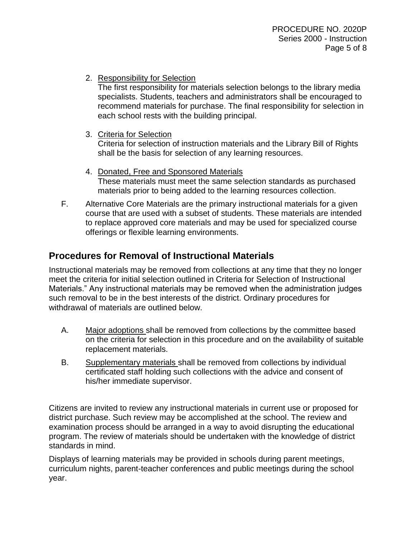2. Responsibility for Selection

The first responsibility for materials selection belongs to the library media specialists. Students, teachers and administrators shall be encouraged to recommend materials for purchase. The final responsibility for selection in each school rests with the building principal.

3. Criteria for Selection

Criteria for selection of instruction materials and the Library Bill of Rights shall be the basis for selection of any learning resources.

- 4. Donated, Free and Sponsored Materials These materials must meet the same selection standards as purchased materials prior to being added to the learning resources collection.
- F. Alternative Core Materials are the primary instructional materials for a given course that are used with a subset of students. These materials are intended to replace approved core materials and may be used for specialized course offerings or flexible learning environments.

### **Procedures for Removal of Instructional Materials**

Instructional materials may be removed from collections at any time that they no longer meet the criteria for initial selection outlined in Criteria for Selection of Instructional Materials." Any instructional materials may be removed when the administration judges such removal to be in the best interests of the district. Ordinary procedures for withdrawal of materials are outlined below.

- A. Major adoptions shall be removed from collections by the committee based on the criteria for selection in this procedure and on the availability of suitable replacement materials.
- B. Supplementary materials shall be removed from collections by individual certificated staff holding such collections with the advice and consent of his/her immediate supervisor.

Citizens are invited to review any instructional materials in current use or proposed for district purchase. Such review may be accomplished at the school. The review and examination process should be arranged in a way to avoid disrupting the educational program. The review of materials should be undertaken with the knowledge of district standards in mind.

Displays of learning materials may be provided in schools during parent meetings, curriculum nights, parent-teacher conferences and public meetings during the school year.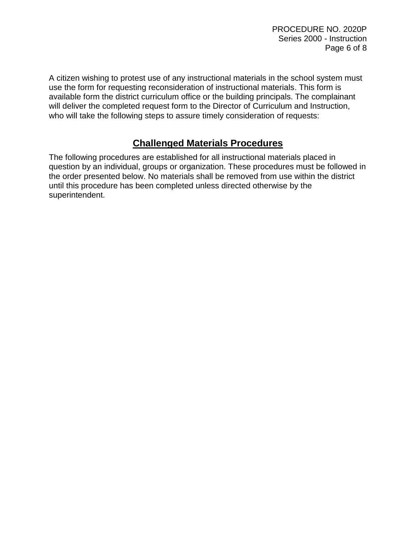A citizen wishing to protest use of any instructional materials in the school system must use the form for requesting reconsideration of instructional materials. This form is available form the district curriculum office or the building principals. The complainant will deliver the completed request form to the Director of Curriculum and Instruction, who will take the following steps to assure timely consideration of requests:

## **Challenged Materials Procedures**

The following procedures are established for all instructional materials placed in question by an individual, groups or organization. These procedures must be followed in the order presented below. No materials shall be removed from use within the district until this procedure has been completed unless directed otherwise by the superintendent.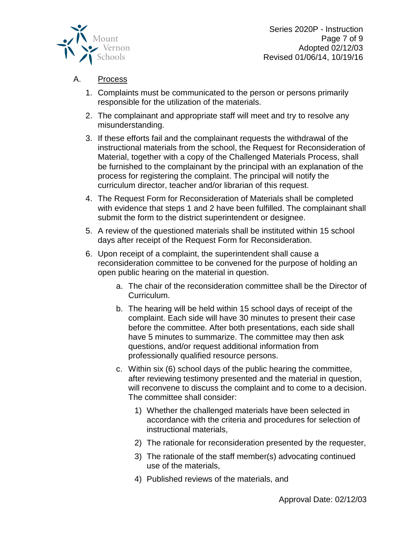

Series 2020P - Instruction Page 7 of 9 Adopted 02/12/03 Revised 01/06/14, 10/19/16

#### A. Process

- 1. Complaints must be communicated to the person or persons primarily responsible for the utilization of the materials.
- 2. The complainant and appropriate staff will meet and try to resolve any misunderstanding.
- 3. If these efforts fail and the complainant requests the withdrawal of the instructional materials from the school, the Request for Reconsideration of Material, together with a copy of the Challenged Materials Process, shall be furnished to the complainant by the principal with an explanation of the process for registering the complaint. The principal will notify the curriculum director, teacher and/or librarian of this request.
- 4. The Request Form for Reconsideration of Materials shall be completed with evidence that steps 1 and 2 have been fulfilled. The complainant shall submit the form to the district superintendent or designee.
- 5. A review of the questioned materials shall be instituted within 15 school days after receipt of the Request Form for Reconsideration.
- 6. Upon receipt of a complaint, the superintendent shall cause a reconsideration committee to be convened for the purpose of holding an open public hearing on the material in question.
	- a. The chair of the reconsideration committee shall be the Director of Curriculum.
	- b. The hearing will be held within 15 school days of receipt of the complaint. Each side will have 30 minutes to present their case before the committee. After both presentations, each side shall have 5 minutes to summarize. The committee may then ask questions, and/or request additional information from professionally qualified resource persons.
	- c. Within six (6) school days of the public hearing the committee, after reviewing testimony presented and the material in question, will reconvene to discuss the complaint and to come to a decision. The committee shall consider:
		- 1) Whether the challenged materials have been selected in accordance with the criteria and procedures for selection of instructional materials,
		- 2) The rationale for reconsideration presented by the requester,
		- 3) The rationale of the staff member(s) advocating continued use of the materials,
		- 4) Published reviews of the materials, and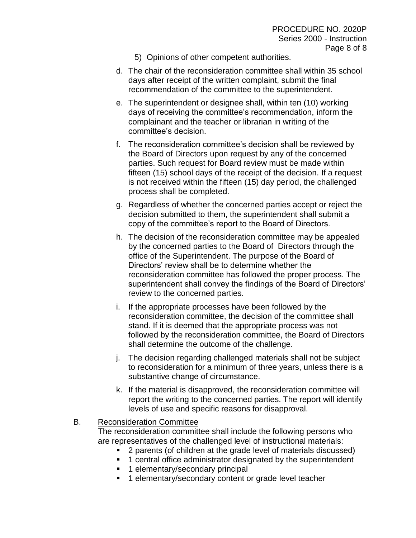- 5) Opinions of other competent authorities.
- d. The chair of the reconsideration committee shall within 35 school days after receipt of the written complaint, submit the final recommendation of the committee to the superintendent.
- e. The superintendent or designee shall, within ten (10) working days of receiving the committee's recommendation, inform the complainant and the teacher or librarian in writing of the committee's decision.
- f. The reconsideration committee's decision shall be reviewed by the Board of Directors upon request by any of the concerned parties. Such request for Board review must be made within fifteen (15) school days of the receipt of the decision. If a request is not received within the fifteen (15) day period, the challenged process shall be completed.
- g. Regardless of whether the concerned parties accept or reject the decision submitted to them, the superintendent shall submit a copy of the committee's report to the Board of Directors.
- h. The decision of the reconsideration committee may be appealed by the concerned parties to the Board of Directors through the office of the Superintendent. The purpose of the Board of Directors' review shall be to determine whether the reconsideration committee has followed the proper process. The superintendent shall convey the findings of the Board of Directors' review to the concerned parties.
- i. If the appropriate processes have been followed by the reconsideration committee, the decision of the committee shall stand. If it is deemed that the appropriate process was not followed by the reconsideration committee, the Board of Directors shall determine the outcome of the challenge.
- j. The decision regarding challenged materials shall not be subject to reconsideration for a minimum of three years, unless there is a substantive change of circumstance.
- k. If the material is disapproved, the reconsideration committee will report the writing to the concerned parties. The report will identify levels of use and specific reasons for disapproval.

#### B. Reconsideration Committee

The reconsideration committee shall include the following persons who are representatives of the challenged level of instructional materials:

- 2 parents (of children at the grade level of materials discussed)
- 1 central office administrator designated by the superintendent
- 1 elementary/secondary principal
- 1 elementary/secondary content or grade level teacher